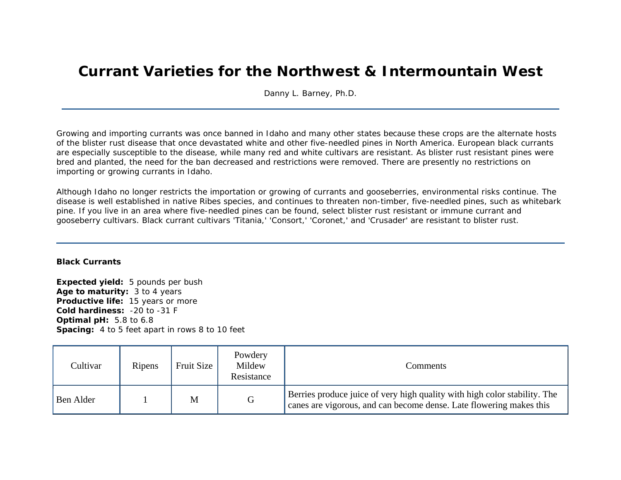## **Currant Varieties for the Northwest & Intermountain West**

Danny L. Barney, Ph.D.

Growing and importing currants was once banned in Idaho and many other states because these crops are the alternate hosts of the blister rust disease that once devastated white and other five-needled pines in North America. European black currants are especially susceptible to the disease, while many red and white cultivars are resistant. As blister rust resistant pines were bred and planted, the need for the ban decreased and restrictions were removed. There are presently no restrictions on importing or growing currants in Idaho.

Although Idaho no longer restricts the importation or growing of currants and gooseberries, environmental risks continue. The disease is well established in native *Ribes* species, and continues to threaten non-timber, five-needled pines, such as whitebark pine. If you live in an area where five-needled pines can be found, select blister rust resistant or immune currant and gooseberry cultivars. Black currant cultivars 'Titania,' 'Consort,' 'Coronet,' and 'Crusader' are resistant to blister rust.

## **Black Currants**

**Expected yield:** 5 pounds per bush **Age to maturity:** 3 to 4 years **Productive life:** 15 years or more **Cold hardiness:** -20 to -31 F **Optimal pH:** 5.8 to 6.8 **Spacing:** 4 to 5 feet apart in rows 8 to 10 feet

| Cultivar  | Ripens | Fruit Size | Powdery<br>Mildew<br>Resistance | Comments:                                                                                                                                        |
|-----------|--------|------------|---------------------------------|--------------------------------------------------------------------------------------------------------------------------------------------------|
| Ben Alder |        | M          | G                               | Berries produce juice of very high quality with high color stability. The<br>canes are vigorous, and can become dense. Late flowering makes this |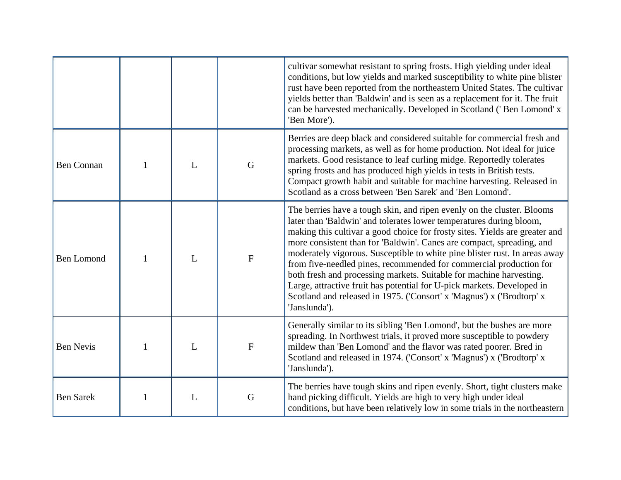|                   |              |   |                | cultivar somewhat resistant to spring frosts. High yielding under ideal<br>conditions, but low yields and marked susceptibility to white pine blister<br>rust have been reported from the northeastern United States. The cultivar<br>yields better than 'Baldwin' and is seen as a replacement for it. The fruit<br>can be harvested mechanically. Developed in Scotland ('Ben Lomond' x<br>'Ben More').                                                                                                                                                                                                                                                                                            |
|-------------------|--------------|---|----------------|------------------------------------------------------------------------------------------------------------------------------------------------------------------------------------------------------------------------------------------------------------------------------------------------------------------------------------------------------------------------------------------------------------------------------------------------------------------------------------------------------------------------------------------------------------------------------------------------------------------------------------------------------------------------------------------------------|
| <b>Ben Connan</b> | 1            | L | G              | Berries are deep black and considered suitable for commercial fresh and<br>processing markets, as well as for home production. Not ideal for juice<br>markets. Good resistance to leaf curling midge. Reportedly tolerates<br>spring frosts and has produced high yields in tests in British tests.<br>Compact growth habit and suitable for machine harvesting. Released in<br>Scotland as a cross between 'Ben Sarek' and 'Ben Lomond'.                                                                                                                                                                                                                                                            |
| <b>Ben Lomond</b> | $\mathbf{1}$ | L | $\overline{F}$ | The berries have a tough skin, and ripen evenly on the cluster. Blooms<br>later than 'Baldwin' and tolerates lower temperatures during bloom,<br>making this cultivar a good choice for frosty sites. Yields are greater and<br>more consistent than for 'Baldwin'. Canes are compact, spreading, and<br>moderately vigorous. Susceptible to white pine blister rust. In areas away<br>from five-needled pines, recommended for commercial production for<br>both fresh and processing markets. Suitable for machine harvesting.<br>Large, attractive fruit has potential for U-pick markets. Developed in<br>Scotland and released in 1975. ('Consort' x 'Magnus') x ('Brodtorp' x<br>'Janslunda'). |
| <b>Ben Nevis</b>  | 1            | L | $\mathbf{F}$   | Generally similar to its sibling 'Ben Lomond', but the bushes are more<br>spreading. In Northwest trials, it proved more susceptible to powdery<br>mildew than 'Ben Lomond' and the flavor was rated poorer. Bred in<br>Scotland and released in 1974. ('Consort' x 'Magnus') x ('Brodtorp' x<br>'Janslunda').                                                                                                                                                                                                                                                                                                                                                                                       |
| <b>Ben Sarek</b>  | 1            | L | G              | The berries have tough skins and ripen evenly. Short, tight clusters make<br>hand picking difficult. Yields are high to very high under ideal<br>conditions, but have been relatively low in some trials in the northeastern                                                                                                                                                                                                                                                                                                                                                                                                                                                                         |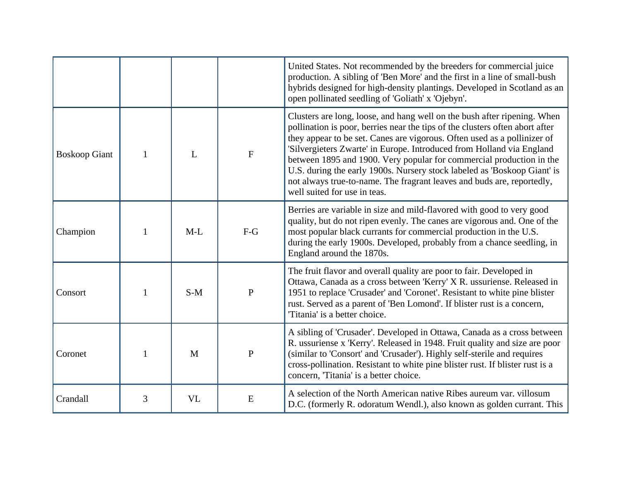|                      |   |           |              | United States. Not recommended by the breeders for commercial juice<br>production. A sibling of 'Ben More' and the first in a line of small-bush<br>hybrids designed for high-density plantings. Developed in Scotland as an<br>open pollinated seedling of 'Goliath' x 'Ojebyn'.                                                                                                                                                                                                                                                                                           |
|----------------------|---|-----------|--------------|-----------------------------------------------------------------------------------------------------------------------------------------------------------------------------------------------------------------------------------------------------------------------------------------------------------------------------------------------------------------------------------------------------------------------------------------------------------------------------------------------------------------------------------------------------------------------------|
| <b>Boskoop Giant</b> | 1 | L         | ${\bf F}$    | Clusters are long, loose, and hang well on the bush after ripening. When<br>pollination is poor, berries near the tips of the clusters often abort after<br>they appear to be set. Canes are vigorous. Often used as a pollinizer of<br>'Silvergieters Zwarte' in Europe. Introduced from Holland via England<br>between 1895 and 1900. Very popular for commercial production in the<br>U.S. during the early 1900s. Nursery stock labeled as 'Boskoop Giant' is<br>not always true-to-name. The fragrant leaves and buds are, reportedly,<br>well suited for use in teas. |
| Champion             | 1 | $M-L$     | $F-G$        | Berries are variable in size and mild-flavored with good to very good<br>quality, but do not ripen evenly. The canes are vigorous and. One of the<br>most popular black currants for commercial production in the U.S.<br>during the early 1900s. Developed, probably from a chance seedling, in<br>England around the 1870s.                                                                                                                                                                                                                                               |
| Consort              | 1 | $S-M$     | $\mathbf{P}$ | The fruit flavor and overall quality are poor to fair. Developed in<br>Ottawa, Canada as a cross between 'Kerry' X R. ussuriense. Released in<br>1951 to replace 'Crusader' and 'Coronet'. Resistant to white pine blister<br>rust. Served as a parent of 'Ben Lomond'. If blister rust is a concern,<br>Titania' is a better choice.                                                                                                                                                                                                                                       |
| Coronet              |   | M         | $\mathbf{P}$ | A sibling of 'Crusader'. Developed in Ottawa, Canada as a cross between<br>R. ussuriense x 'Kerry'. Released in 1948. Fruit quality and size are poor<br>(similar to 'Consort' and 'Crusader'). Highly self-sterile and requires<br>cross-pollination. Resistant to white pine blister rust. If blister rust is a<br>concern, 'Titania' is a better choice.                                                                                                                                                                                                                 |
| Crandall             | 3 | <b>VL</b> | E            | A selection of the North American native Ribes aureum var. villosum<br>D.C. (formerly R. odoratum Wendl.), also known as golden currant. This                                                                                                                                                                                                                                                                                                                                                                                                                               |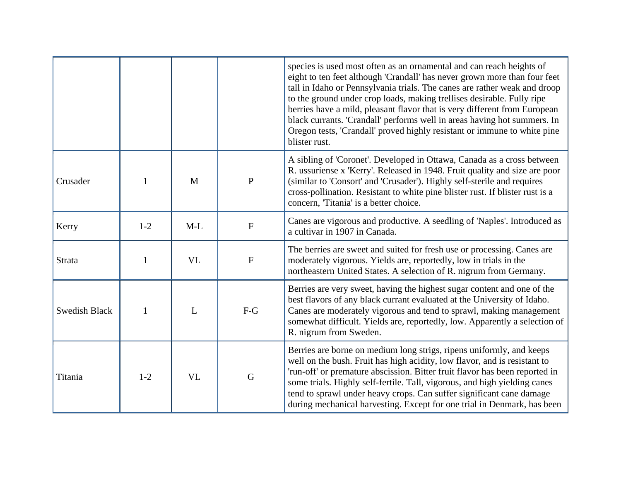|                      |         |           |                           | species is used most often as an ornamental and can reach heights of<br>eight to ten feet although 'Crandall' has never grown more than four feet<br>tall in Idaho or Pennsylvania trials. The canes are rather weak and droop<br>to the ground under crop loads, making trellises desirable. Fully ripe<br>berries have a mild, pleasant flavor that is very different from European<br>black currants. 'Crandall' performs well in areas having hot summers. In<br>Oregon tests, 'Crandall' proved highly resistant or immune to white pine<br>blister rust. |
|----------------------|---------|-----------|---------------------------|----------------------------------------------------------------------------------------------------------------------------------------------------------------------------------------------------------------------------------------------------------------------------------------------------------------------------------------------------------------------------------------------------------------------------------------------------------------------------------------------------------------------------------------------------------------|
| Crusader             |         | M         | $\mathbf{P}$              | A sibling of 'Coronet'. Developed in Ottawa, Canada as a cross between<br>R. ussuriense x 'Kerry'. Released in 1948. Fruit quality and size are poor<br>(similar to 'Consort' and 'Crusader'). Highly self-sterile and requires<br>cross-pollination. Resistant to white pine blister rust. If blister rust is a<br>concern, 'Titania' is a better choice.                                                                                                                                                                                                     |
| Kerry                | $1 - 2$ | $M-L$     | $\boldsymbol{\mathrm{F}}$ | Canes are vigorous and productive. A seedling of 'Naples'. Introduced as<br>a cultivar in 1907 in Canada.                                                                                                                                                                                                                                                                                                                                                                                                                                                      |
| <b>Strata</b>        | 1       | <b>VL</b> | $\mathbf F$               | The berries are sweet and suited for fresh use or processing. Canes are<br>moderately vigorous. Yields are, reportedly, low in trials in the<br>northeastern United States. A selection of R. nigrum from Germany.                                                                                                                                                                                                                                                                                                                                             |
| <b>Swedish Black</b> | 1       | L         | $F-G$                     | Berries are very sweet, having the highest sugar content and one of the<br>best flavors of any black currant evaluated at the University of Idaho.<br>Canes are moderately vigorous and tend to sprawl, making management<br>somewhat difficult. Yields are, reportedly, low. Apparently a selection of<br>R. nigrum from Sweden.                                                                                                                                                                                                                              |
| Titania              | $1 - 2$ | <b>VL</b> | G                         | Berries are borne on medium long strigs, ripens uniformly, and keeps<br>well on the bush. Fruit has high acidity, low flavor, and is resistant to<br>'run-off' or premature abscission. Bitter fruit flavor has been reported in<br>some trials. Highly self-fertile. Tall, vigorous, and high yielding canes<br>tend to sprawl under heavy crops. Can suffer significant cane damage<br>during mechanical harvesting. Except for one trial in Denmark, has been                                                                                               |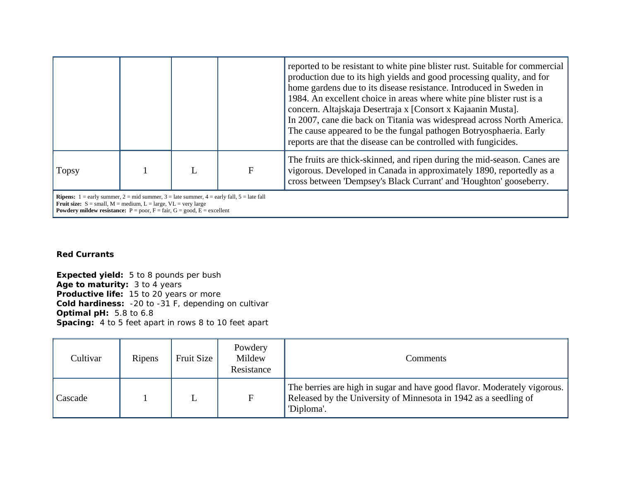|                                                                                                 |  |   |   | reported to be resistant to white pine blister rust. Suitable for commercial<br>production due to its high yields and good processing quality, and for<br>home gardens due to its disease resistance. Introduced in Sweden in<br>1984. An excellent choice in areas where white pine blister rust is a<br>concern. Altajskaja Desertraja x [Consort x Kajaanin Musta].<br>In 2007, cane die back on Titania was widespread across North America.<br>The cause appeared to be the fungal pathogen Botryosphaeria. Early<br>reports are that the disease can be controlled with fungicides. |
|-------------------------------------------------------------------------------------------------|--|---|---|-------------------------------------------------------------------------------------------------------------------------------------------------------------------------------------------------------------------------------------------------------------------------------------------------------------------------------------------------------------------------------------------------------------------------------------------------------------------------------------------------------------------------------------------------------------------------------------------|
| <b>Topsy</b>                                                                                    |  | L | F | The fruits are thick-skinned, and ripen during the mid-season. Canes are<br>vigorous. Developed in Canada in approximately 1890, reportedly as a<br>cross between 'Dempsey's Black Currant' and 'Houghton' gooseberry.                                                                                                                                                                                                                                                                                                                                                                    |
| <b>Ripens:</b> 1 = early summer, 2 = mid summer, 3 = late summer, 4 = early fall, 5 = late fall |  |   |   |                                                                                                                                                                                                                                                                                                                                                                                                                                                                                                                                                                                           |

**Fruit size:**  $S = \text{small}$ ,  $M = \text{medium}$ ,  $L = \text{large}$ ,  $VL = \text{very large}$ 

**Powdery mildew resistance:**  $P = poor$ ,  $F = fair$ ,  $G = good$ ,  $E = excellent$ 

## **Red Currants**

**Expected yield:** 5 to 8 pounds per bush **Age to maturity:** 3 to 4 years **Productive life:** 15 to 20 years or more **Cold hardiness:** -20 to -31 F, depending on cultivar **Optimal pH:** 5.8 to 6.8 **Spacing:** 4 to 5 feet apart in rows 8 to 10 feet apart

| Cultivar | Ripens | Fruit Size | Powdery<br>Mildew<br>Resistance | Comments                                                                                                                                                   |
|----------|--------|------------|---------------------------------|------------------------------------------------------------------------------------------------------------------------------------------------------------|
| Cascade  |        | ட          | $\mathbf{F}$                    | The berries are high in sugar and have good flavor. Moderately vigorous.<br>Released by the University of Minnesota in 1942 as a seedling of<br>'Diploma'. |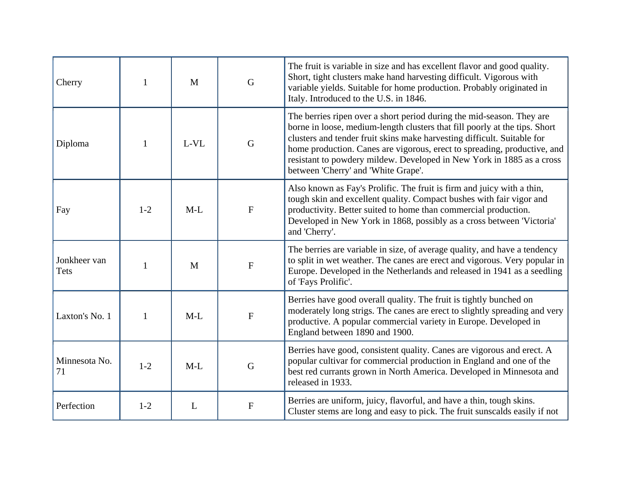| Cherry               |         | M      | $\mathbf G$               | The fruit is variable in size and has excellent flavor and good quality.<br>Short, tight clusters make hand harvesting difficult. Vigorous with<br>variable yields. Suitable for home production. Probably originated in<br>Italy. Introduced to the U.S. in 1846.                                                                                                                                                         |
|----------------------|---------|--------|---------------------------|----------------------------------------------------------------------------------------------------------------------------------------------------------------------------------------------------------------------------------------------------------------------------------------------------------------------------------------------------------------------------------------------------------------------------|
| Diploma              | 1       | $L-VL$ | $\mathbf G$               | The berries ripen over a short period during the mid-season. They are<br>borne in loose, medium-length clusters that fill poorly at the tips. Short<br>clusters and tender fruit skins make harvesting difficult. Suitable for<br>home production. Canes are vigorous, erect to spreading, productive, and<br>resistant to powdery mildew. Developed in New York in 1885 as a cross<br>between 'Cherry' and 'White Grape'. |
| Fay                  | $1 - 2$ | $M-L$  | $\mathbf{F}$              | Also known as Fay's Prolific. The fruit is firm and juicy with a thin,<br>tough skin and excellent quality. Compact bushes with fair vigor and<br>productivity. Better suited to home than commercial production.<br>Developed in New York in 1868, possibly as a cross between 'Victoria'<br>and 'Cherry'.                                                                                                                |
| Jonkheer van<br>Tets |         | M      | $\boldsymbol{\mathrm{F}}$ | The berries are variable in size, of average quality, and have a tendency<br>to split in wet weather. The canes are erect and vigorous. Very popular in<br>Europe. Developed in the Netherlands and released in 1941 as a seedling<br>of 'Fays Prolific'.                                                                                                                                                                  |
| Laxton's No. 1       | 1       | $M-L$  | $\mathbf F$               | Berries have good overall quality. The fruit is tightly bunched on<br>moderately long strigs. The canes are erect to slightly spreading and very<br>productive. A popular commercial variety in Europe. Developed in<br>England between 1890 and 1900.                                                                                                                                                                     |
| Minnesota No.<br>71  | $1 - 2$ | $M-L$  | G                         | Berries have good, consistent quality. Canes are vigorous and erect. A<br>popular cultivar for commercial production in England and one of the<br>best red currants grown in North America. Developed in Minnesota and<br>released in 1933.                                                                                                                                                                                |
| Perfection           | $1 - 2$ | L      | ${\bf F}$                 | Berries are uniform, juicy, flavorful, and have a thin, tough skins.<br>Cluster stems are long and easy to pick. The fruit sunscalds easily if not                                                                                                                                                                                                                                                                         |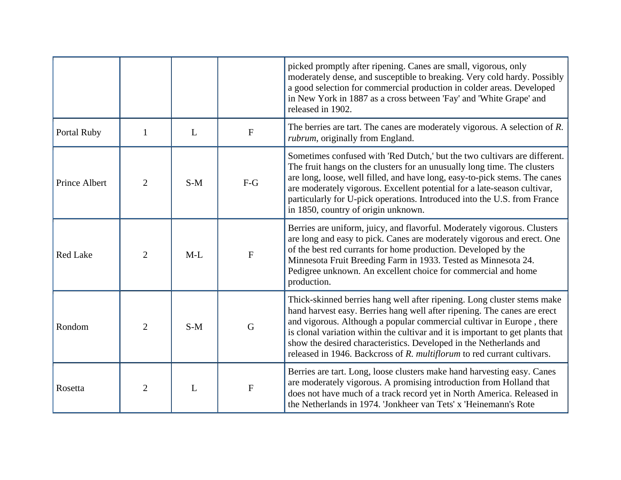|                 |                |       |              | picked promptly after ripening. Canes are small, vigorous, only<br>moderately dense, and susceptible to breaking. Very cold hardy. Possibly<br>a good selection for commercial production in colder areas. Developed<br>in New York in 1887 as a cross between 'Fay' and 'White Grape' and<br>released in 1902.                                                                                                                                                 |
|-----------------|----------------|-------|--------------|-----------------------------------------------------------------------------------------------------------------------------------------------------------------------------------------------------------------------------------------------------------------------------------------------------------------------------------------------------------------------------------------------------------------------------------------------------------------|
| Portal Ruby     | $\mathbf{1}$   | L     | $\mathbf{F}$ | The berries are tart. The canes are moderately vigorous. A selection of $R$ .<br><i>rubrum</i> , originally from England.                                                                                                                                                                                                                                                                                                                                       |
| Prince Albert   | $\overline{2}$ | $S-M$ | $F-G$        | Sometimes confused with 'Red Dutch,' but the two cultivars are different.<br>The fruit hangs on the clusters for an unusually long time. The clusters<br>are long, loose, well filled, and have long, easy-to-pick stems. The canes<br>are moderately vigorous. Excellent potential for a late-season cultivar,<br>particularly for U-pick operations. Introduced into the U.S. from France<br>in 1850, country of origin unknown.                              |
| <b>Red Lake</b> | $\overline{2}$ | $M-L$ | $\mathbf{F}$ | Berries are uniform, juicy, and flavorful. Moderately vigorous. Clusters<br>are long and easy to pick. Canes are moderately vigorous and erect. One<br>of the best red currants for home production. Developed by the<br>Minnesota Fruit Breeding Farm in 1933. Tested as Minnesota 24.<br>Pedigree unknown. An excellent choice for commercial and home<br>production.                                                                                         |
| Rondom          | $\overline{2}$ | $S-M$ | G            | Thick-skinned berries hang well after ripening. Long cluster stems make<br>hand harvest easy. Berries hang well after ripening. The canes are erect<br>and vigorous. Although a popular commercial cultivar in Europe, there<br>is clonal variation within the cultivar and it is important to get plants that<br>show the desired characteristics. Developed in the Netherlands and<br>released in 1946. Backcross of R. multiflorum to red currant cultivars. |
| Rosetta         | $\overline{2}$ | L     | $\mathbf{F}$ | Berries are tart. Long, loose clusters make hand harvesting easy. Canes<br>are moderately vigorous. A promising introduction from Holland that<br>does not have much of a track record yet in North America. Released in<br>the Netherlands in 1974. 'Jonkheer van Tets' x 'Heinemann's Rote                                                                                                                                                                    |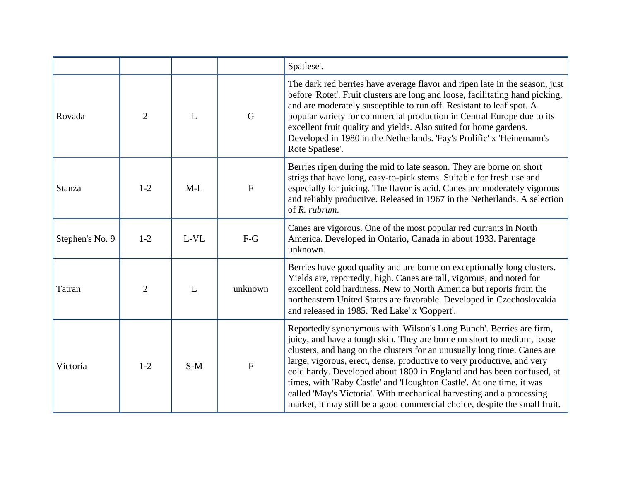|                 |                |       |              | Spatlese'.                                                                                                                                                                                                                                                                                                                                                                                                                                                                                                                                                                                                 |
|-----------------|----------------|-------|--------------|------------------------------------------------------------------------------------------------------------------------------------------------------------------------------------------------------------------------------------------------------------------------------------------------------------------------------------------------------------------------------------------------------------------------------------------------------------------------------------------------------------------------------------------------------------------------------------------------------------|
| Rovada          | $\overline{2}$ | L     | $\mathbf G$  | The dark red berries have average flavor and ripen late in the season, just<br>before 'Rotet'. Fruit clusters are long and loose, facilitating hand picking,<br>and are moderately susceptible to run off. Resistant to leaf spot. A<br>popular variety for commercial production in Central Europe due to its<br>excellent fruit quality and yields. Also suited for home gardens.<br>Developed in 1980 in the Netherlands. 'Fay's Prolific' x 'Heinemann's<br>Rote Spatlese'.                                                                                                                            |
| Stanza          | $1 - 2$        | $M-L$ | $\mathbf{F}$ | Berries ripen during the mid to late season. They are borne on short<br>strigs that have long, easy-to-pick stems. Suitable for fresh use and<br>especially for juicing. The flavor is acid. Canes are moderately vigorous<br>and reliably productive. Released in 1967 in the Netherlands. A selection<br>of R. rubrum.                                                                                                                                                                                                                                                                                   |
| Stephen's No. 9 | $1 - 2$        | L-VL  | $F-G$        | Canes are vigorous. One of the most popular red currants in North<br>America. Developed in Ontario, Canada in about 1933. Parentage<br>unknown.                                                                                                                                                                                                                                                                                                                                                                                                                                                            |
| Tatran          | $\overline{2}$ | L     | unknown      | Berries have good quality and are borne on exceptionally long clusters.<br>Yields are, reportedly, high. Canes are tall, vigorous, and noted for<br>excellent cold hardiness. New to North America but reports from the<br>northeastern United States are favorable. Developed in Czechoslovakia<br>and released in 1985. 'Red Lake' x 'Goppert'.                                                                                                                                                                                                                                                          |
| Victoria        | $1 - 2$        | $S-M$ | $\mathbf F$  | Reportedly synonymous with 'Wilson's Long Bunch'. Berries are firm,<br>juicy, and have a tough skin. They are borne on short to medium, loose<br>clusters, and hang on the clusters for an unusually long time. Canes are<br>large, vigorous, erect, dense, productive to very productive, and very<br>cold hardy. Developed about 1800 in England and has been confused, at<br>times, with 'Raby Castle' and 'Houghton Castle'. At one time, it was<br>called 'May's Victoria'. With mechanical harvesting and a processing<br>market, it may still be a good commercial choice, despite the small fruit. |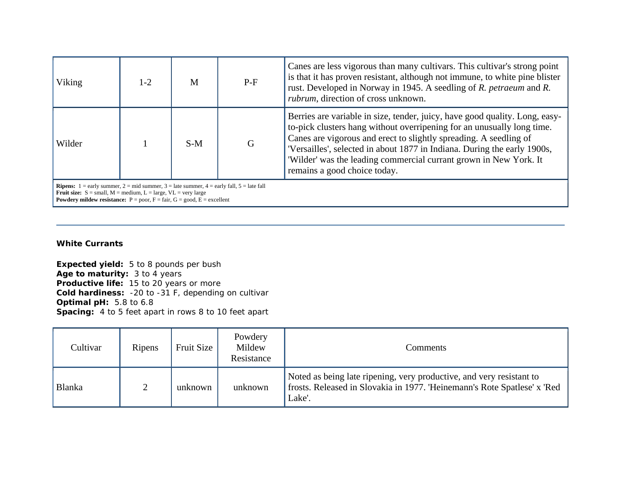| Viking                                                                                                                                                                                                                                                                                                     | $1-2$ | M     | $P-F$ | Canes are less vigorous than many cultivars. This cultivar's strong point<br>is that it has proven resistant, although not immune, to white pine blister<br>rust. Developed in Norway in 1945. A seedling of R. <i>petraeum</i> and R.<br>rubrum, direction of cross unknown.                                                                                                                               |
|------------------------------------------------------------------------------------------------------------------------------------------------------------------------------------------------------------------------------------------------------------------------------------------------------------|-------|-------|-------|-------------------------------------------------------------------------------------------------------------------------------------------------------------------------------------------------------------------------------------------------------------------------------------------------------------------------------------------------------------------------------------------------------------|
| Wilder                                                                                                                                                                                                                                                                                                     |       | $S-M$ | G     | Berries are variable in size, tender, juicy, have good quality. Long, easy-<br>to-pick clusters hang without overripening for an unusually long time.<br>Canes are vigorous and erect to slightly spreading. A seedling of<br>'Versailles', selected in about 1877 in Indiana. During the early 1900s,<br>'Wilder' was the leading commercial currant grown in New York. It<br>remains a good choice today. |
| <b>Ripens:</b> 1 = early summer, 2 = mid summer, 3 = late summer, 4 = early fall, 5 = late fall<br><b>Fruit size:</b> $S = \text{small}$ , $M = \text{medium}$ , $L = \text{large}$ , $VL = \text{very large}$<br><b>Powdery mildew resistance:</b> $P = poor$ , $F = fair$ , $G = good$ , $E = excellent$ |       |       |       |                                                                                                                                                                                                                                                                                                                                                                                                             |

## **White Currants**

**Expected yield:** 5 to 8 pounds per bush **Age to maturity:** 3 to 4 years **Productive life:** 15 to 20 years or more **Cold hardiness:** -20 to -31 F, depending on cultivar **Optimal pH:** 5.8 to 6.8 **Spacing:** 4 to 5 feet apart in rows 8 to 10 feet apart

| Cultivar      | Ripens        | Fruit Size | Powdery<br>Mildew<br>Resistance | Comments                                                                                                                                                   |
|---------------|---------------|------------|---------------------------------|------------------------------------------------------------------------------------------------------------------------------------------------------------|
| <b>Blanka</b> | $\mathcal{L}$ | unknown    | unknown                         | Noted as being late ripening, very productive, and very resistant to<br>frosts. Released in Slovakia in 1977. 'Heinemann's Rote Spatlese' x 'Red<br>Lake'. |